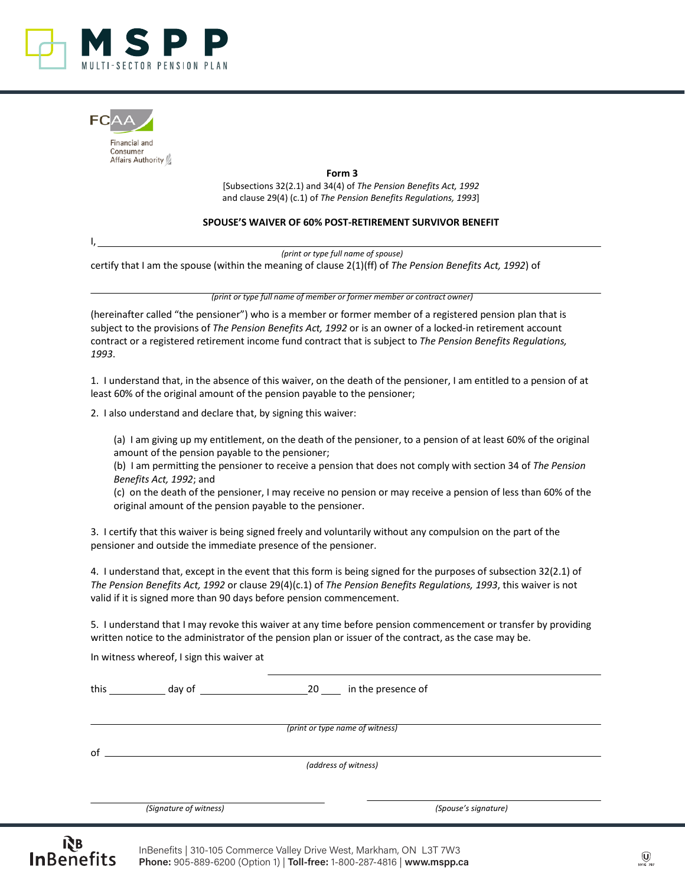



I,

Financial and Consumer Affairs Authority

> **Form 3** [Subsections 32(2.1) and 34(4) of *The Pension Benefits Act, 1992* and clause 29(4) (c.1) of *The Pension Benefits Regulations, 1993*]

## **SPOUSE'S WAIVER OF 60% POST-RETIREMENT SURVIVOR BENEFIT**

*(print or type full name of spouse)*

certify that I am the spouse (within the meaning of clause 2(1)(ff) of *The Pension Benefits Act, 1992*) of

*(print or type full name of member or former member or contract owner)* 

(hereinafter called "the pensioner") who is a member or former member of a registered pension plan that is subject to the provisions of *The Pension Benefits Act, 1992* or is an owner of a locked-in retirement account contract or a registered retirement income fund contract that is subject to *The Pension Benefits Regulations, 1993*.

1. I understand that, in the absence of this waiver, on the death of the pensioner, I am entitled to a pension of at least 60% of the original amount of the pension payable to the pensioner;

2. I also understand and declare that, by signing this waiver:

(a) I am giving up my entitlement, on the death of the pensioner, to a pension of at least 60% of the original amount of the pension payable to the pensioner;

(b) I am permitting the pensioner to receive a pension that does not comply with section 34 of *The Pension Benefits Act, 1992*; and

(c) on the death of the pensioner, I may receive no pension or may receive a pension of less than 60% of the original amount of the pension payable to the pensioner.

3. I certify that this waiver is being signed freely and voluntarily without any compulsion on the part of the pensioner and outside the immediate presence of the pensioner.

4. I understand that, except in the event that this form is being signed for the purposes of subsection 32(2.1) of *The Pension Benefits Act, 1992* or clause 29(4)(c.1) of *The Pension Benefits Regulations, 1993*, this waiver is not valid if it is signed more than 90 days before pension commencement.

5. I understand that I may revoke this waiver at any time before pension commencement or transfer by providing written notice to the administrator of the pension plan or issuer of the contract, as the case may be.

In witness whereof, I sign this waiver at

this day of 20 in the presence of

*(print or type name of witness)*

 $of_$ 

*(address of witness)*

*(Signature of witness) (Spouse's signature)*